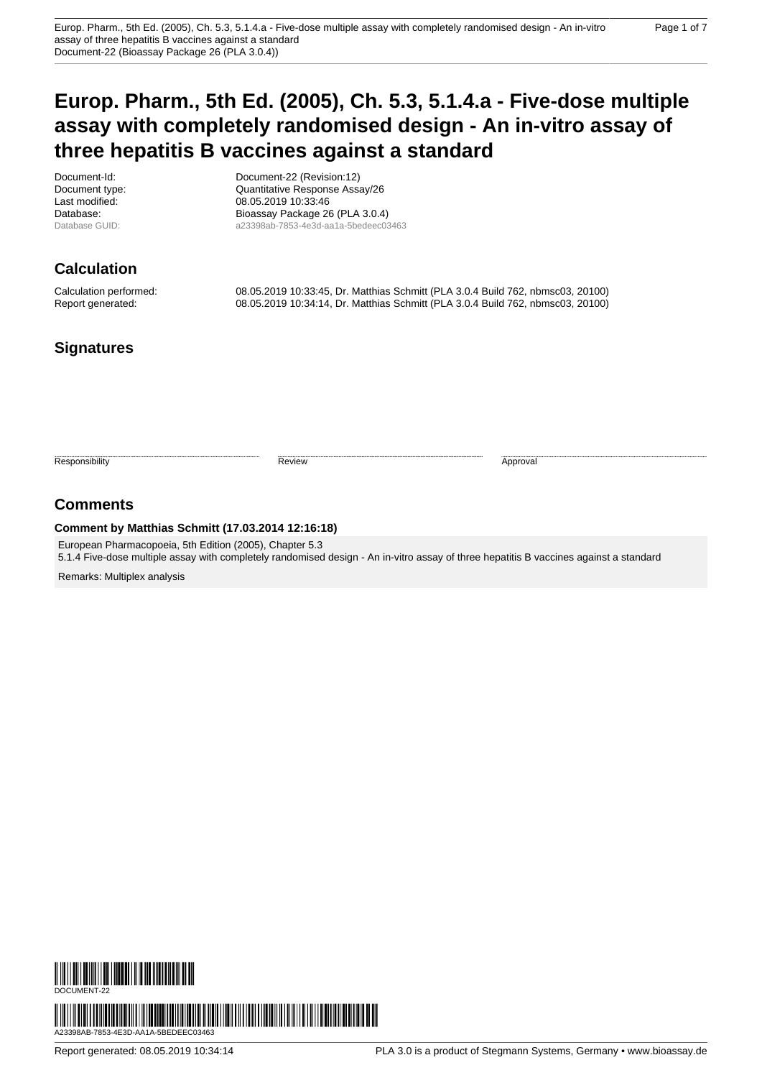# **Europ. Pharm., 5th Ed. (2005), Ch. 5.3, 5.1.4.a - Five-dose multiple assay with completely randomised design - An in-vitro assay of three hepatitis B vaccines against a standard**

Document-Id: Document-22 (Revision:12) Document type:  $\frac{1}{26}$  Quantitative Response Assay/26<br>
08.05.2019 10:33:46 08.05.2019 10:33:46 Database: Bioassay Package 26 (PLA 3.0.4)<br>Database GUID: a23398ab-7853-4e3d-aa1a-5bedeec03 a23398ab-7853-4e3d-aa1a-5bedeec03463

# **Calculation**

Calculation performed: 08.05.2019 10:33:45, Dr. Matthias Schmitt (PLA 3.0.4 Build 762, nbmsc03, 20100) Report generated: 08.05.2019 10:34:14, Dr. Matthias Schmitt (PLA 3.0.4 Build 762, nbmsc03, 20100)

## **Signatures**

Responsibility **Approval** Review **Review Approval** Approval **Approval** 

## **Comments**

#### **Comment by Matthias Schmitt (17.03.2014 12:16:18)**

European Pharmacopoeia, 5th Edition (2005), Chapter 5.3 5.1.4 Five-dose multiple assay with completely randomised design - An in-vitro assay of three hepatitis B vaccines against a standard

Remarks: Multiplex analysis

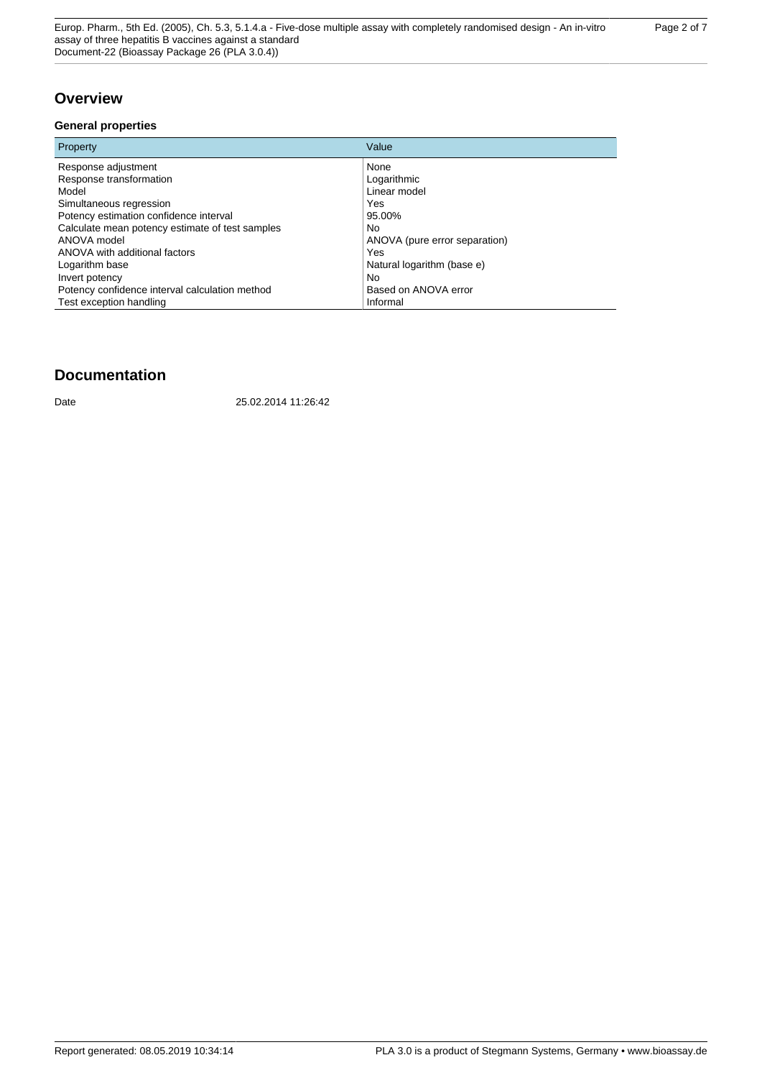## **Overview**

#### **General properties**

| Property                                        | Value                         |
|-------------------------------------------------|-------------------------------|
| Response adjustment                             | None                          |
| Response transformation                         | Logarithmic                   |
| Model                                           | Linear model                  |
| Simultaneous regression                         | Yes                           |
| Potency estimation confidence interval          | 95.00%                        |
| Calculate mean potency estimate of test samples | <b>No</b>                     |
| ANOVA model                                     | ANOVA (pure error separation) |
| ANOVA with additional factors                   | Yes                           |
| Logarithm base                                  | Natural logarithm (base e)    |
| Invert potency                                  | <b>No</b>                     |
| Potency confidence interval calculation method  | Based on ANOVA error          |
| Test exception handling                         | Informal                      |

## **Documentation**

Date 25.02.2014 11:26:42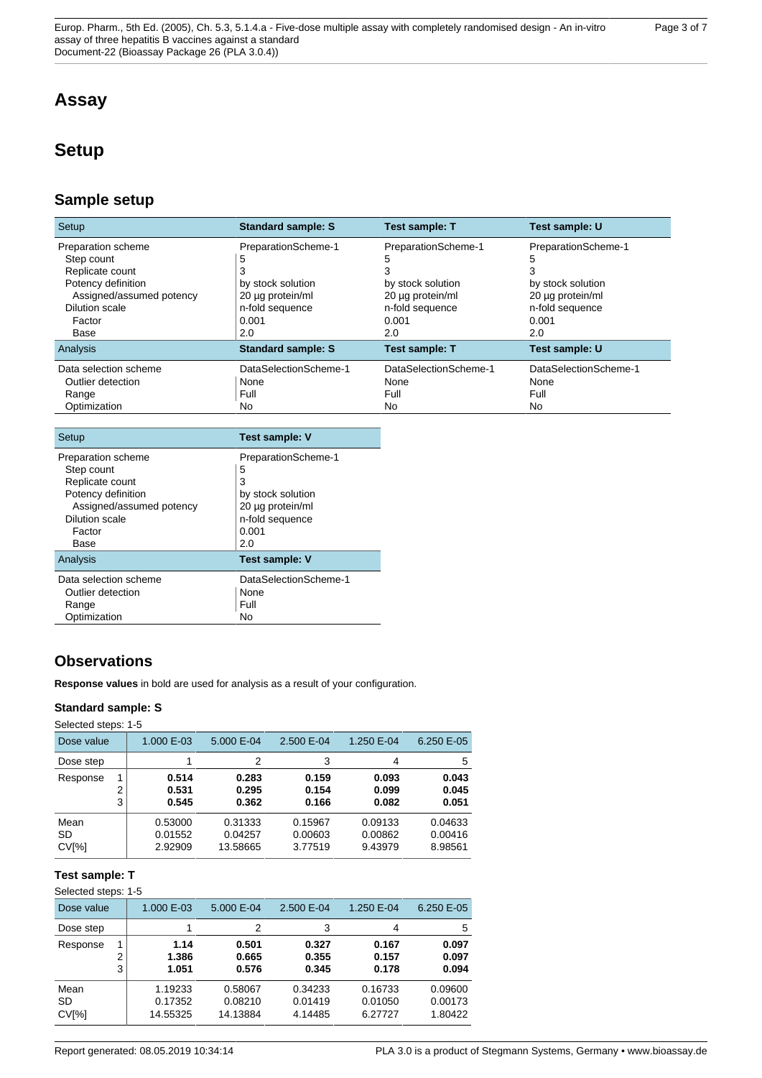# **Assay**

# **Setup**

## **Sample setup**

| Setup                    | <b>Standard sample: S</b> | <b>Test sample: T</b> | Test sample: U        |
|--------------------------|---------------------------|-----------------------|-----------------------|
| Preparation scheme       | PreparationScheme-1       | PreparationScheme-1   | PreparationScheme-1   |
| Step count               | 5                         | 5                     | 5                     |
| Replicate count          | 3                         | 3                     |                       |
| Potency definition       | by stock solution         | by stock solution     | by stock solution     |
| Assigned/assumed potency | 20 µg protein/ml          | 20 µg protein/ml      | 20 µg protein/ml      |
| Dilution scale           | n-fold sequence           | n-fold sequence       | n-fold sequence       |
| Factor                   | 0.001                     | 0.001                 | 0.001                 |
| Base                     | 2.0                       | 2.0                   | 2.0                   |
| Analysis                 | <b>Standard sample: S</b> | <b>Test sample: T</b> | Test sample: U        |
| Data selection scheme    | DataSelectionScheme-1     | DataSelectionScheme-1 | DataSelectionScheme-1 |
| Outlier detection        | None                      | None                  | None                  |
| Range                    | Full                      | Full                  | Full                  |
| Optimization             | No.                       | No                    | No                    |

| Setup                            | <b>Test sample: V</b>    |
|----------------------------------|--------------------------|
| Preparation scheme<br>Step count | PreparationScheme-1<br>5 |
| Replicate count                  | 3                        |
| Potency definition               | by stock solution        |
| Assigned/assumed potency         | 20 µg protein/ml         |
| Dilution scale                   | n-fold sequence          |
| Factor                           | 0.001                    |
| Base                             | 2.0                      |
| Analysis                         | <b>Test sample: V</b>    |
| Data selection scheme            | DataSelectionScheme-1    |
| Outlier detection                | None                     |
| Range                            | Full                     |
| Optimization                     | No                       |

# **Observations**

**Response values** in bold are used for analysis as a result of your configuration.

### **Standard sample: S**

Selected steps: 1-5

| Dose value                      |        | 1.000 E-03                    | 5.000 E-04                     | 2.500 E-04                    | 1.250 E-04                    | 6.250 E-05                    |
|---------------------------------|--------|-------------------------------|--------------------------------|-------------------------------|-------------------------------|-------------------------------|
| Dose step                       |        |                               | 2                              | 3                             | 4                             | 5                             |
| Response                        | っ<br>3 | 0.514<br>0.531<br>0.545       | 0.283<br>0.295<br>0.362        | 0.159<br>0.154<br>0.166       | 0.093<br>0.099<br>0.082       | 0.043<br>0.045<br>0.051       |
| Mean<br>SD<br>CV <sub>[%]</sub> |        | 0.53000<br>0.01552<br>2.92909 | 0.31333<br>0.04257<br>13.58665 | 0.15967<br>0.00603<br>3.77519 | 0.09133<br>0.00862<br>9.43979 | 0.04633<br>0.00416<br>8.98561 |

## **Test sample: T**

Selected steps: 1-5

| Dose value                      |        | 1.000 E-03                     | 5.000 E-04                     | 2.500 E-04                    | 1.250 E-04                    | 6.250 E-05                    |
|---------------------------------|--------|--------------------------------|--------------------------------|-------------------------------|-------------------------------|-------------------------------|
| Dose step                       |        |                                | 2                              | 3                             | 4                             | 5                             |
| Response                        | 2<br>3 | 1.14<br>1.386<br>1.051         | 0.501<br>0.665<br>0.576        | 0.327<br>0.355<br>0.345       | 0.167<br>0.157<br>0.178       | 0.097<br>0.097<br>0.094       |
| Mean<br>SD<br>CV <sub>[%]</sub> |        | 1.19233<br>0.17352<br>14.55325 | 0.58067<br>0.08210<br>14.13884 | 0.34233<br>0.01419<br>4.14485 | 0.16733<br>0.01050<br>6.27727 | 0.09600<br>0.00173<br>1.80422 |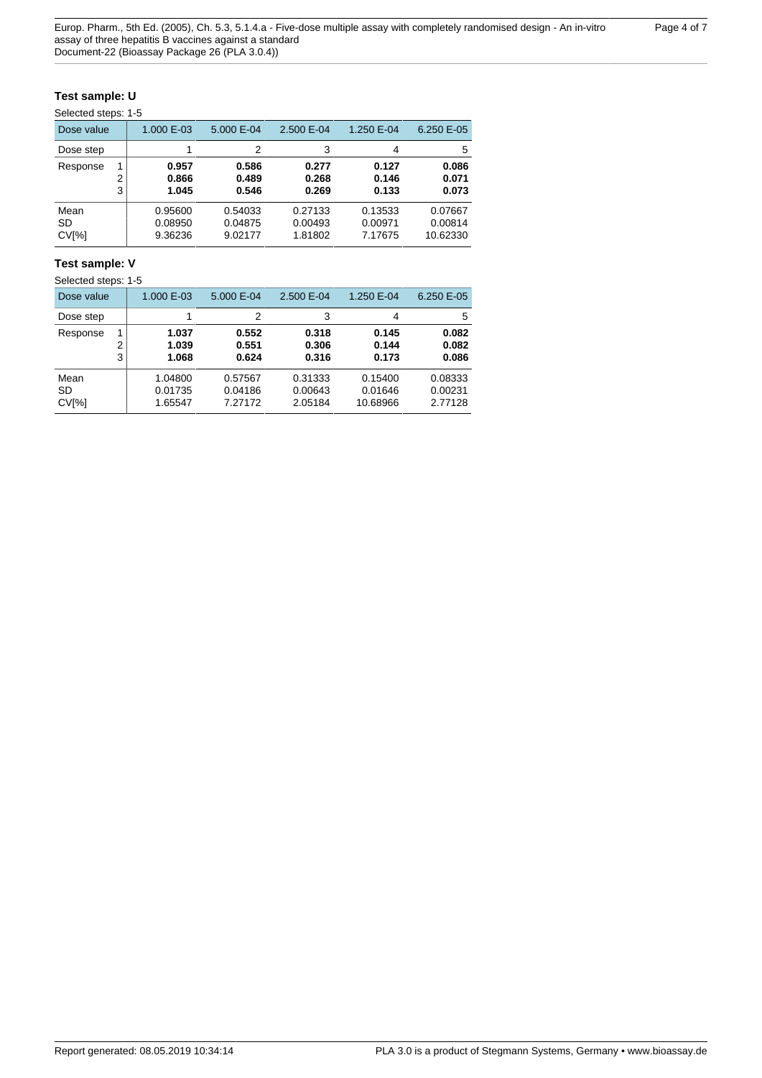### **Test sample: U**

| Dose value                      |        | 1.000 E-03                    | 5.000 E-04                    | 2.500 E-04                    | 1.250 E-04                    | 6.250 E-05                     |
|---------------------------------|--------|-------------------------------|-------------------------------|-------------------------------|-------------------------------|--------------------------------|
| Dose step                       |        | 1                             | 2                             | 3                             | 4                             | 5                              |
| Response                        | 2<br>3 | 0.957<br>0.866<br>1.045       | 0.586<br>0.489<br>0.546       | 0.277<br>0.268<br>0.269       | 0.127<br>0.146<br>0.133       | 0.086<br>0.071<br>0.073        |
| Mean<br>SD<br>CV <sub>[%]</sub> |        | 0.95600<br>0.08950<br>9.36236 | 0.54033<br>0.04875<br>9.02177 | 0.27133<br>0.00493<br>1.81802 | 0.13533<br>0.00971<br>7.17675 | 0.07667<br>0.00814<br>10.62330 |

### **Test sample: V**

Selected steps: 1-5

| Dose value                      |        | 1.000 E-03                    | 5.000 E-04                    | 2.500 E-04                    | 1.250 E-04                     | 6.250 E-05                    |
|---------------------------------|--------|-------------------------------|-------------------------------|-------------------------------|--------------------------------|-------------------------------|
| Dose step                       |        |                               | 2                             | 3                             | 4                              | 5                             |
| Response                        | 2<br>3 | 1.037<br>1.039<br>1.068       | 0.552<br>0.551<br>0.624       | 0.318<br>0.306<br>0.316       | 0.145<br>0.144<br>0.173        | 0.082<br>0.082<br>0.086       |
| Mean<br>SD<br>CV <sub>[%]</sub> |        | 1.04800<br>0.01735<br>1.65547 | 0.57567<br>0.04186<br>7.27172 | 0.31333<br>0.00643<br>2.05184 | 0.15400<br>0.01646<br>10.68966 | 0.08333<br>0.00231<br>2.77128 |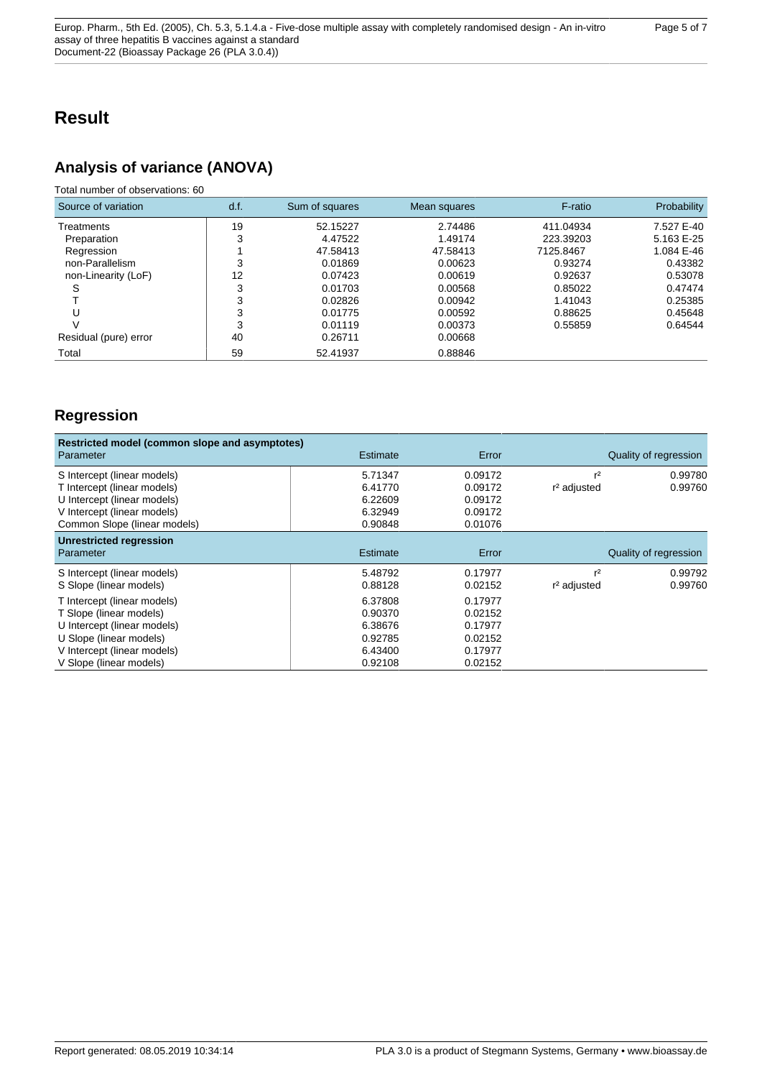# **Result**

# **Analysis of variance (ANOVA)**

### Total number of observations: 60

| Source of variation   | d.f. | Sum of squares | Mean squares | F-ratio   | Probability |
|-----------------------|------|----------------|--------------|-----------|-------------|
| Treatments            | 19   | 52.15227       | 2.74486      | 411.04934 | 7.527 E-40  |
| Preparation           | 3    | 4.47522        | 1.49174      | 223.39203 | 5.163 E-25  |
| Regression            |      | 47.58413       | 47.58413     | 7125.8467 | 1.084 E-46  |
| non-Parallelism       | 3    | 0.01869        | 0.00623      | 0.93274   | 0.43382     |
| non-Linearity (LoF)   | 12   | 0.07423        | 0.00619      | 0.92637   | 0.53078     |
| S                     | 3    | 0.01703        | 0.00568      | 0.85022   | 0.47474     |
|                       | 3    | 0.02826        | 0.00942      | 1.41043   | 0.25385     |
| U                     | 3    | 0.01775        | 0.00592      | 0.88625   | 0.45648     |
| $\mathcal{U}$         | 3    | 0.01119        | 0.00373      | 0.55859   | 0.64544     |
| Residual (pure) error | 40   | 0.26711        | 0.00668      |           |             |
| Total                 | 59   | 52.41937       | 0.88846      |           |             |

# **Regression**

| Restricted model (common slope and asymptotes)<br>Parameter | Estimate | Error   |                         | Quality of regression |
|-------------------------------------------------------------|----------|---------|-------------------------|-----------------------|
| S Intercept (linear models)                                 | 5.71347  | 0.09172 | r <sup>2</sup>          | 0.99780               |
| T Intercept (linear models)                                 | 6.41770  | 0.09172 | r <sup>2</sup> adjusted | 0.99760               |
| U Intercept (linear models)                                 | 6.22609  | 0.09172 |                         |                       |
| V Intercept (linear models)                                 | 6.32949  | 0.09172 |                         |                       |
| Common Slope (linear models)                                | 0.90848  | 0.01076 |                         |                       |
| <b>Unrestricted regression</b><br>Parameter                 | Estimate | Error   |                         | Quality of regression |
| S Intercept (linear models)                                 | 5.48792  | 0.17977 | r <sup>2</sup>          | 0.99792               |
| S Slope (linear models)                                     | 0.88128  | 0.02152 | r <sup>2</sup> adjusted | 0.99760               |
| T Intercept (linear models)                                 | 6.37808  | 0.17977 |                         |                       |
| T Slope (linear models)                                     | 0.90370  | 0.02152 |                         |                       |
| U Intercept (linear models)                                 | 6.38676  | 0.17977 |                         |                       |
| U Slope (linear models)                                     | 0.92785  | 0.02152 |                         |                       |
| V Intercept (linear models)                                 | 6.43400  | 0.17977 |                         |                       |
| V Slope (linear models)                                     | 0.92108  | 0.02152 |                         |                       |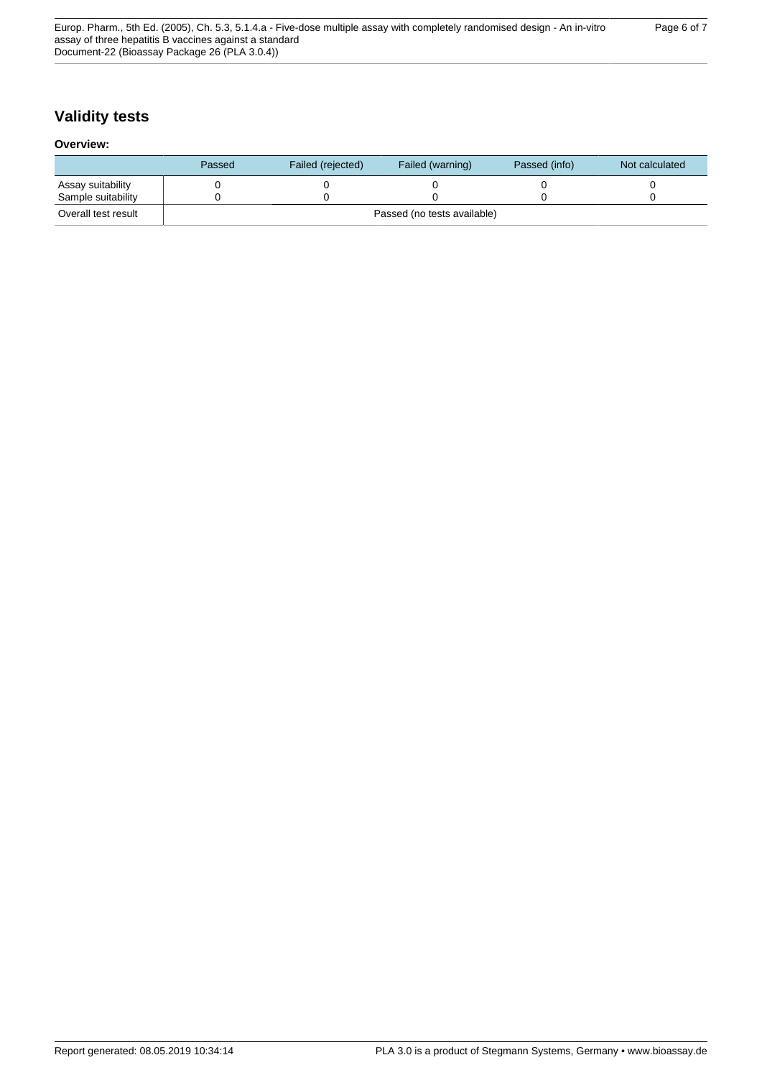# **Validity tests**

#### **Overview:**

|                     | Passed                      | Failed (rejected) | Failed (warning) | Passed (info) | Not calculated |
|---------------------|-----------------------------|-------------------|------------------|---------------|----------------|
| Assay suitability   |                             |                   |                  |               |                |
| Sample suitability  |                             |                   |                  |               |                |
| Overall test result | Passed (no tests available) |                   |                  |               |                |